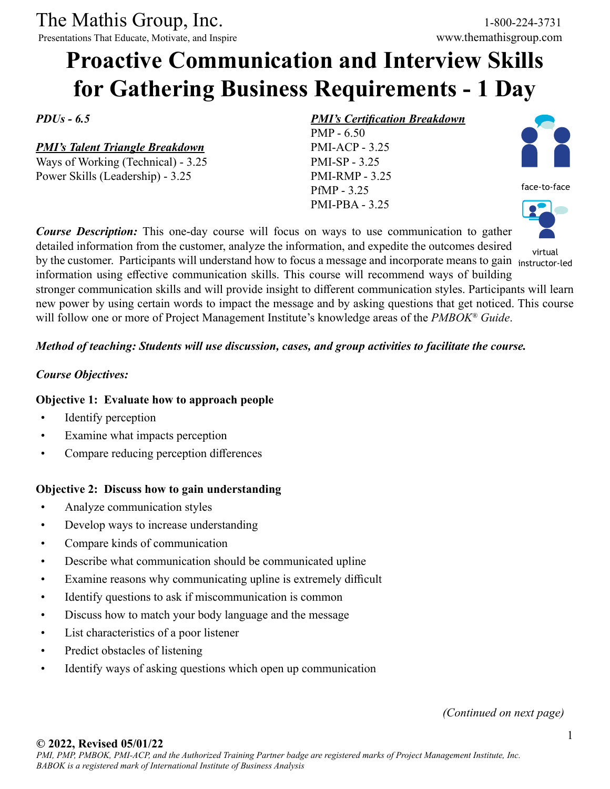The Mathis Group, Inc. 1-800-224-3731<br>
Presentations That Educate, Motivate, and Inspire www.themathisgroup.com

Presentations That Educate, Motivate, and Inspire

# **Proactive Communication and Interview Skills for Gathering Business Requirements - 1 Day**

*PDUs - 6.5*

*PMI's Talent Triangle Breakdown*

Ways of Working (Technical) - 3.25 Power Skills (Leadership) - 3.25

# *PMI's Certification Breakdown*

PMP - 6.50 PMI-ACP - 3.25 PMI-SP - 3.25 PMI-RMP - 3.25 PfMP - 3.25 PMI-PBA - 3.25



information using effective communication skills. This course will recommend ways of building stronger communication skills and will provide insight to different communication styles. Participants will learn new power by using certain words to impact the message and by asking questions that get noticed. This course will follow one or more of Project Management Institute's knowledge areas of the *PMBOK® Guide*.

#### *Method of teaching: Students will use discussion, cases, and group activities to facilitate the course.*

#### *Course Objectives:*

#### **Objective 1: Evaluate how to approach people**

- Identify perception
- Examine what impacts perception
- Compare reducing perception differences

#### **Objective 2: Discuss how to gain understanding**

- Analyze communication styles
- Develop ways to increase understanding
- Compare kinds of communication
- Describe what communication should be communicated upline
- Examine reasons why communicating upline is extremely difficult
- Identify questions to ask if miscommunication is common
- Discuss how to match your body language and the message
- List characteristics of a poor listener
- Predict obstacles of listening
- Identify ways of asking questions which open up communication

*(Continued on next page)*

#### **© 2022, Revised 05/01/22**



face-to-face

virtual